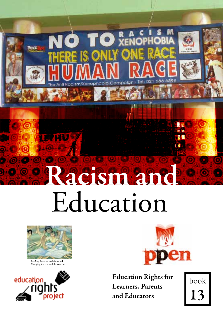

# acism and Education



WU

Reading the word and the world Changing the text and the context





**Education Rights for Learners**, Parents and Educators

book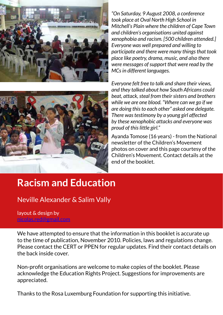

*"On Saturday, 9 August 2008, a conference took place at Oval North High School in Mitchell's Plain where the children of Cape Town and children's organisations united against xenophobia and racism. [500 children attended.] Everyone was well prepared and willing to participate and there were many things that took place like poetry, drama, music, and also there were messages of support that were read by the MCs in different languages.*



*Everyone felt free to talk and share their views, and they talked about how South Africans could beat, attack, steal from their sisters and brothers while we are one blood. "Where can we go if we are doing this to each other" asked one delegate. There was testimony by a young girl affected by these xenophobic attacks and everyone was proud of this little girl."*

Ayanda Tomose (16 years) - from the National newsletter of the Children's Movement photos on cover and this page courtesy of the Children's Movement. Contact details at the end of the booklet.

## **Racism and Education**

Neville Alexander & Salim Vally

layout & design by [nicolas.red@gmail.com](mailto:nicolas.red@gmail.com)

We have attempted to ensure that the information in this booklet is accurate up to the time of publication, November 2010. Policies, laws and regulations change. Please contact the CERT or PPEN for regular updates. Find their contact details on the back inside cover.

Non-profit organisations are welcome to make copies of the booklet. Please acknowledge the Education Rights Project. Suggestions for improvements are appreciated.

Thanks to the Rosa Luxemburg Foundation for supporting this initiative.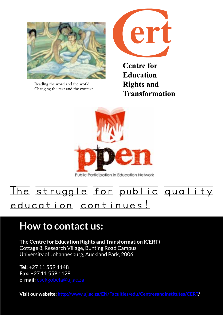

Changing the text and the context



**Centre for Education Rights and Transformation** 



Public Participation in Education Network

## The struggle for public quality education continues!

## **How to contact us:**

**The Centre for Education Rights and Transformation (CERT)** Cottage 8, Research Village, Bunting Road Campus University of Johannesburg, Auckland Park, 2006

**Tel:** +27 11 559 1148 **Fax:** +27 11 559 1128 **e-mail:** [esekgobela@uj.ac.za](mailto:esekgobela@uj.ac.za)

**Visit our website: <http://www.uj.ac.za/EN/Faculties/edu/Centresandinstitutes/CERT>/**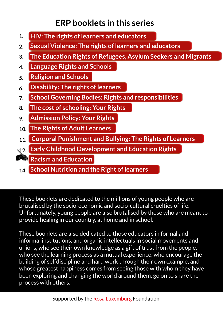### **ERP booklets in this series**

- **1. HIV: The rights of learners and educators**
- **2. Sexual Violence: The rights of learners and educators**
- **3. The Education Rights of Refugees, Asylum Seekers and Migrants**
- **4. Language Rights and Schools**
- **5. Religion and Schools**
- **6. Disability: The rights of learners**
- **7. School Governing Bodies: Rights and responsibilities**
- **8. The cost of schooling: Your Rights**
- **9. Admission Policy: Your Rights**
- **10. The Rights of Adult Learners**
- **11. Corporal Punishment and Bullying: The Rights of Learners**
- **12. Early Childhood Development and Education Rights**
- **Racism and Education**
- **14. School Nutrition and the Right of learners**

These booklets are dedicated to the millions of young people who are brutalised by the socio-economic and socio-cultural cruelties of life. Unfortunately, young people are also brutalised by those who are meant to provide healing in our country, at home and in school.

These booklets are also dedicated to those educators in formal and informal institutions, and organic intellectuals in social movements and unions, who see their own knowledge as a gift of trust from the people, who see the learning process as a mutual experience, who encourage the building of selfdiscipline and hard work through their own example, and whose greatest happiness comes from seeing those with whom they have been exploring and changing the world around them, go on to share the process with others.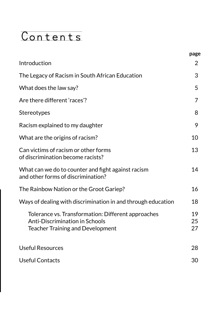## Contents

|                                                                                                                                 | page           |
|---------------------------------------------------------------------------------------------------------------------------------|----------------|
| Introduction                                                                                                                    | $\overline{2}$ |
| The Legacy of Racism in South African Education                                                                                 | 3              |
| What does the law say?                                                                                                          | 5              |
| Are there different 'races'?                                                                                                    | $\overline{7}$ |
| Stereotypes                                                                                                                     | 8              |
| Racism explained to my daughter                                                                                                 | 9              |
| What are the origins of racism?                                                                                                 | 10             |
| Can victims of racism or other forms<br>of discrimination become racists?                                                       | 13             |
| What can we do to counter and fight against racism<br>and other forms of discrimination?                                        | 14             |
| The Rainbow Nation or the Groot Gariep?                                                                                         | 16             |
| Ways of dealing with discrimination in and through education                                                                    | 18             |
| Tolerance vs. Transformation: Different approaches<br>Anti-Discrimination in Schools<br><b>Teacher Training and Development</b> | 19<br>25<br>27 |
| <b>Useful Resources</b>                                                                                                         | 28             |
| <b>Useful Contacts</b>                                                                                                          | 30             |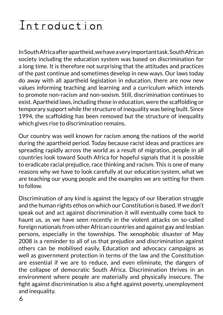## Introduction

In South Africa after apartheid, we have a very important task. South African society including the education system was based on discrimination for a long time. It is therefore not surprising that the attitudes and practices of the past continue and sometimes develop in new ways. Our laws today do away with all apartheid legislation in education, there are now new values informing teaching and learning and a curriculum which intends to promote non-racism and non-sexism. Still, discrimination continues to exist. Apartheid laws, including those in education, were the scaffolding or temporary support while the structure of inequality was being built. Since 1994, the scaffolding has been removed but the structure of inequality which gives rise to discrimination remains.

Our country was well known for racism among the nations of the world during the apartheid period. Today because racist ideas and practices are spreading rapidly across the world as a result of migration, people in all countries look toward South Africa for hopeful signals that it is possible to eradicate racial prejudice, race thinking and racism. This is one of many reasons why we have to look carefully at our education system, what we are teaching our young people and the examples we are setting for them to follow.

Discrimination of any kind is against the legacy of our liberation struggle and the human rights ethos on which our Constitution is based. If we don't speak out and act against discrimination it will eventually come back to haunt us, as we have seen recently in the violent attacks on so-called foreign nationals from other African countries and against gay and lesbian persons, especially in the townships. The xenophobic disaster of May 2008 is a reminder to all of us that prejudice and discrimination against others can be mobilised easily. Education and advocacy campaigns as well as government protection in terms of the law and the Constitution are essential if we are to reduce, and even eliminate, the dangers of the collapse of democratic South Africa. Discrimination thrives in an environment where people are materially and physically insecure. The fight against discrimination is also a fight against poverty, unemployment and inequality.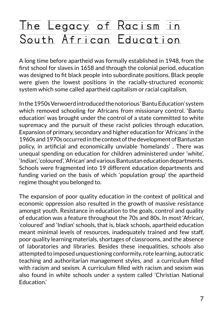## The Legacy of Racism in South African Education

A long time before apartheid was formally established in 1948, from the first school for slaves in 1658 and through the colonial period, education was designed to fit black people into subordinate positions. Black people were given the lowest positions in the racially-structured economic system which some called apartheid capitalism or racial capitalism.

In the 1950s Verwoerd introduced the notorious ' Bantu Education' system which removed schooling for Africans from missionary control. 'Bantu education' was brought under the control of a state committed to white supremacy and the pursuit of these racist policies through education. Expansion of primary, secondary and higher education for 'Africans' in the 1960s and 1970s occurred in the context of the development of Bantustan policy, in artificial and economically unviable 'homelands' . There was unequal spending on education for children administered under 'white', 'Indian', 'coloured', 'African' and various Bantustan education departments. Schools were fragmented into 19 different education departments and funding varied on the basis of which 'population group' the apartheid regime thought you belonged to.

The expansion of poor quality education in the context of political and economic oppression also resulted in the growth of massive resistance amongst youth. Resistance in education to the goals, control and quality of education was a feature throughout the 70s and 80s. In most 'African', 'coloured' and 'Indian' schools, that is, black schools, apartheid education meant minimal levels of resources, inadequately trained and few staff, poor quality learning materials, shortages of classrooms, and the absence of laboratories and libraries. Besides these inequalities, schools also attempted to imposed unquestioning conformity, rote learning, autocratic teaching and authoritarian management styles, and a curriculum filled with racism and sexism. A curriculum filled with racism and sexism was also found in white schools under a system called 'Christian National Education.'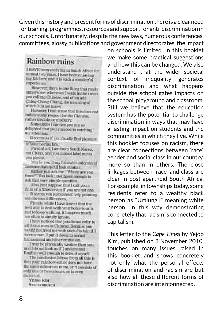Given this history and present forms of discrimination there is a clear need for training, programmes, resources and support for anti-discrimination in our schools. Unfortunately, despite the new laws, numerous conferences, committees, glossy publications and government directorates, the impact

### Rainbow ruine

I HAVE been studying in South Africa for nimost two years. I have been enjoying my life here and it is such a weenleyful experience.

However, there is one thing that really nunoys met whenever I walk in the street you call me Chinese, and often add Ching-Chong-Chung, the meaning of which I do not know.

However, I can sense that this does not indicate any respect for the Chinese. rather district or mockery.

Sometimes I can see you me so delighted that you succeed in catching. my attention.

It seems as if you finally find pleasure in your boring life.

First of all, I am from South Korea. not China, and you cannot label me as vou plassa.

May be you'll say I should understand boranse Asians all look similar.

Rather Just ask me. "Where are you from?" You look intelligent enough to ask that very simple question.

Also, just suppose that I call you a Zulu or a Xhosa even if you are not one. It seems you just cannot help pointing

out obvious differences.

Finally, while I have keep that the best way to deal with your behaviour is just to losep walking, it happens much too often to simply ignore.

I have noticed that you do not refer to all Askut men as Chinese. Because you would not treat me with such disdain if I were a man, I put it down to sexual harassment and discrimination.

I may be physically weaker than you. and I do not look as if I understand Emflish well enough to defend myself.

The conclusion I draw from all this is that your rainbow either does not have. the same colours as mine, or it consists of only one or two colours, or is oven distorted.

**YESOO KIM STELLENBOACH**  on schools is limited. In this booklet we make some practical suggestions and how this can be changed. We also understand that the wider societal context of inequality generates discrimination and what happens outside the school gates impacts on the school, playground and classroom. Still we believe that the education system has the potential to challenge discrimination in ways that may have a lasting impact on students and the communities in which they live. While this booklet focuses on racism, there are clear connections between 'race', gender and social class in our country, more so than in others. The close linkages between 'race' and class are clear in post-apartheid South Africa. For example, in townships today, some residents refer to a wealthy black person as "Umlungu" meaning white person. In this way demonstrating concretely that racism is connected to capitalism.

This letter to the *Cape Times* by Yejoo Kim, published on 3 November 2010, touches on many issues raised in this booklet and shows concretely not only what the personal effects of discrimination and racism are but also how all these different forms of discrimination are interconnected.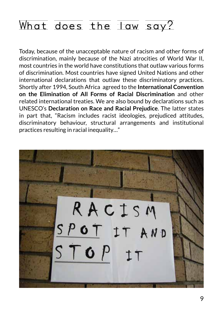## What does the law say?

Today, because of the unacceptable nature of racism and other forms of discrimination, mainly because of the Nazi atrocities of World War II, most countries in the world have constitutions that outlaw various forms of discrimination. Most countries have signed United Nations and other international declarations that outlaw these discriminatory practices. Shortly after 1994, South Africa agreed to the **International Convention on the Elimination of All Forms of Racial Discrimination** and other related international treaties. We are also bound by declarations such as UNESCO's **Declaration on Race and Racial Prejudice**. The latter states in part that, "Racism includes racist ideologies, prejudiced attitudes, discriminatory behaviour, structural arrangements and institutional practices resulting in racial inequality…"

RACISM SPOT IT AND  $STOP$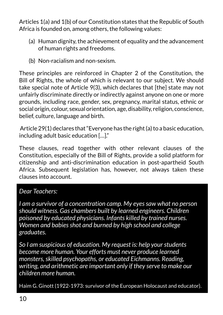Articles 1(a) and 1(b) of our Constitution states that the Republic of South Africa is founded on, among others, the following values:

- (a) Human dignity, the achievement of equality and the advancement of human rights and freedoms.
- (b) Non-racialism and non-sexism.

These principles are reinforced in Chapter 2 of the Constitution, the Bill of Rights, the whole of which is relevant to our subject. We should take special note of Article 9(3), which declares that [the] state may not unfairly discriminate directly or indirectly against anyone on one or more grounds, including race, gender, sex, pregnancy, marital status, ethnic or social origin, colour, sexual orientation, age, disability, religion, conscience, belief, culture, language and birth.

 Article 29(1) declares that "Everyone has the right (a) to a basic education, including adult basic education […]."

These clauses, read together with other relevant clauses of the Constitution, especially of the Bill of Rights, provide a solid platform for citizenship and anti-discrimination education in post-apartheid South Africa. Subsequent legislation has, however, not always taken these clauses into account.

#### *Dear Teachers:*

*I am a survivor of a concentration camp. My eyes saw what no person should witness. Gas chambers built by learned engineers. Children poisoned by educated physicians. Infants killed by trained nurses. Women and babies shot and burned by high school and college graduates.* 

*So I am suspicious of education. My request is: help your students become more human. Your efforts must never produce learned monsters, skilled psychopaths, or educated Eichmanns. Reading, writing, and arithmetic are important only if they serve to make our children more human.* 

Haim G. Ginott (1922-1973: survivor of the European Holocaust and educator).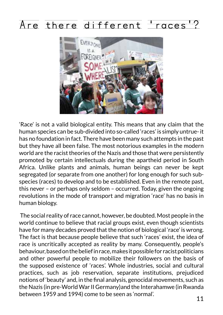## Are there different 'races'?



'Race' is not a valid biological entity. This means that any claim that the human species can be sub-divided into so-called 'races' is simply untrue- it has no foundation in fact. There have been many such attempts in the past but they have all been false. The most notorious examples in the modern world are the racist theories of the Nazis and those that were persistently promoted by certain intellectuals during the apartheid period in South Africa. Unlike plants and animals, human beings can never be kept segregated (or separate from one another) for long enough for such subspecies (races) to develop and to be established. Even in the remote past, this never – or perhaps only seldom – occurred. Today, given the ongoing revolutions in the mode of transport and migration 'race' has no basis in human biology.

 The social reality of race cannot, however, be doubted. Most people in the world continue to believe that racial groups exist, even though scientists have for many decades proved that the notion of biological 'race' is wrong. The fact is that because people believe that such 'races' exist, the idea of race is uncritically accepted as reality by many. Consequently, people's behaviour, based on the belief in race, makes it possible for racist politicians and other powerful people to mobilize their followers on the basis of the supposed existence of 'races'. Whole industries, social and cultural practices, such as job reservation, separate institutions, prejudiced notions of 'beauty' and, in the final analysis, genocidal movements, such as the Nazis (in pre-World War II Germany)and the Interahamwe (in Rwanda between 1959 and 1994) come to be seen as 'normal'.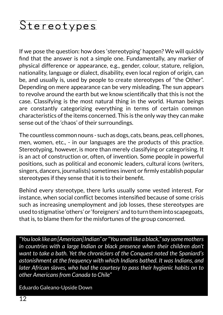## Stereotypes

If we pose the question: how does 'stereotyping' happen? We will quickly find that the answer is not a simple one. Fundamentally, any marker of physical difference or appearance, e.g., gender, colour, stature, religion, nationality, language or dialect, disability, even local region of origin, can be, and usually is, used by people to create stereotypes of "the Other". Depending on mere appearance can be very misleading. The sun appears to revolve around the earth but we know scientifically that this is not the case. Classifying is the most natural thing in the world. Human beings are constantly categorizing everything in terms of certain common characteristics of the items concerned. This is the only way they can make sense out of the 'chaos' of their surroundings.

The countless common nouns - such as dogs, cats, beans, peas, cell phones, men, women, etc., - in our languages are the products of this practice. Stereotyping, however, is more than merely classifying or categorising. It is an act of construction or, often, of invention. Some people in powerful positions, such as political and economic leaders, cultural icons (writers, singers, dancers, journalists) sometimes invent or firmly establish popular stereotypes if they sense that it is to their benefit.

Behind every stereotype, there lurks usually some vested interest. For instance, when social conflict becomes intensified because of some crisis such as increasing unemployment and job losses, these stereotypes are used to stigmatise 'others' or 'foreigners' and to turn them into scapegoats, that is, to blame them for the misfortunes of the group concerned.

*"You look like an [American] Indian" or "You smell like a black," say some mothers in countries with a large Indian or black presence when their children don't want to take a bath. Yet the chroniclers of the Conquest noted the Spaniard's astonishment at the frequency with which Indians bathed. It was Indians, and later African slaves, who had the courtesy to pass their hygienic habits on to other Americans from Canada to Chile"*

Eduardo Galeano-Upside Down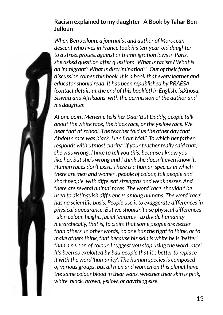#### **Racism explained to my daughter- A Book by Tahar Ben Jelloun**

*When Ben Jelloun, a journalist and author of Moroccan descent who lives in France took his ten-year-old daughter to a street protest against anti-immigration laws in Paris, she asked question after question: "What is racism? What is an immigrant? What is discrimination?" Out of their frank discussion comes this book. It is a book that every learner and educator should read. It has been republished by PRAESA (contact details at the end of this booklet) in English, isiXhosa, Siswati and Afrikaans, with the permission of the author and his daughter.* 

*At one point Mérième tells her Dad: 'But Daddy, people talk about the white race, the black race, or the yellow race. We hear that at school. The teacher told us the other day that Abdou's race was black. He's from Mali'. To which her father responds with utmost clarity: 'If your teacher really said that, she was wrong. I hate to tell you this, because I know you like her, but she's wrong and I think she doesn't even know it. Human races don't exist. There is a human species in which there are men and women, people of colour, tall people and short people, with different strengths and weaknesses. And there are several animal races. The word 'race' shouldn't be used to distinguish differences among humans. The word 'race' has no scientific basis. People use it to exaggerate differences in physical appearance. But we shouldn't use physical differences - skin colour, height, facial features - to divide humanity hierarchically, that is, to claim that some people are better than others. In other words, no one has the right to think, or to make others think, that because his skin is white he is 'better' than a person of colour. I suggest you stop using the word 'race'. It's been so exploited by bad people that it's better to replace it with the word 'humanity'. The human species is composed of various groups, but all men and women on this planet have the same colour blood in their veins, whether their skin is pink, white, black, brown, yellow, or anything else.*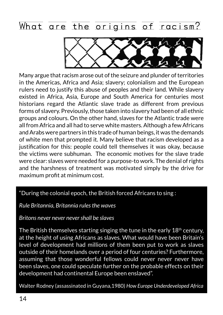## What are the origins of racism?



Many argue that racism arose out of the seizure and plunder of territories in the Americas, Africa and Asia; slavery; colonialism and the European rulers need to justify this abuse of peoples and their land. While slavery existed in Africa, Asia, Europe and South America for centuries most historians regard the Atlantic slave trade as different from previous forms of slavery. Previously, those taken into slavery had been of all ethnic groups and colours. On the other hand, slaves for the Atlantic trade were all from Africa and all had to serve white masters. Although a few Africans and Arabs were partners in this trade of human beings, it was the demands of white men that prompted it. Many believe that racism developed as a justification for this: people could tell themselves it was okay, because the victims were subhuman. The economic motives for the slave trade were clear: slaves were needed for a purpose-to work. The denial of rights and the harshness of treatment was motivated simply by the drive for maximum profit at minimum cost.

#### "During the colonial epoch, the British forced Africans to sing :

#### *Rule Britannia, Britannia rules the waves*

#### *Britons never never never shall be slaves*

The British themselves starting singing the tune in the early  $18<sup>th</sup>$  century, at the height of using Africans as slaves. What would have been Britain's level of development had millions of them been put to work as slaves outside of their homelands over a period of four centuries? Furthermore, assuming that those wonderful fellows could never never never have been slaves, one could speculate further on the probable effects on their development had continental Europe been enslaved".

Walter Rodney (assassinated in Guyana,1980) *How Europe Underdeveloped Africa*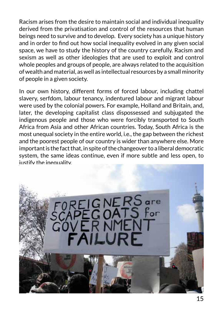Racism arises from the desire to maintain social and individual inequality derived from the privatisation and control of the resources that human beings need to survive and to develop. Every society has a unique history and in order to find out how social inequality evolved in any given social space, we have to study the history of the country carefully. Racism and sexism as well as other ideologies that are used to exploit and control whole peoples and groups of people, are always related to the acquisition of wealth and material, as well as intellectual resources by a small minority of people in a given society.

In our own history, different forms of forced labour, including chattel slavery, serfdom, labour tenancy, indentured labour and migrant labour were used by the colonial powers. For example, Holland and Britain, and, later, the developing capitalist class dispossessed and subjugated the indigenous people and those who were forcibly transported to South Africa from Asia and other African countries. Today, South Africa is the most unequal society in the entire world, i.e., the gap between the richest and the poorest people of our country is wider than anywhere else. More important is the fact that, in spite of the changeover to a liberal democratic system, the same ideas continue, even if more subtle and less open, to justify the inequality.

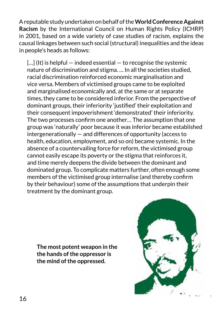A reputable study undertaken on behalf of the **World Conference Against Racism** by the International Council on Human Rights Policy (ICHRP) in 2001, based on a wide variety of case studies of racism, explains the causal linkages between such social (structural) inequalities and the ideas in people's heads as follows:

 $\left[ \ldots \right]$  (It) is helpful – indeed essential – to recognise the systemic nature of discrimination and stigma. … In all the societies studied, racial discrimination reinforced economic marginalisation and vice versa. Members of victimised groups came to be exploited and marginalised economically and, at the same or at separate times, they came to be considered inferior. From the perspective of dominant groups, their inferiority 'justified' their exploitation and their consequent impoverishment 'demonstrated' their inferiority. The two processes confirm one another… The assumption that one group was 'naturally' poor because it was inferior became established intergenerationally — and differences of opportunity (access to health, education, employment, and so on) became systemic. In the absence of a countervailing force for reform, the victimised group cannot easily escape its poverty or the stigma that reinforces it, and time merely deepens the divide between the dominant and dominated group. To complicate matters further, often enough some members of the victimised group internalise (and thereby confirm by their behaviour) some of the assumptions that underpin their treatment by the dominant group. the hands of the oppressor is

**The most potent weapon in the the hands of the oppressor is the mind of the oppressed.**

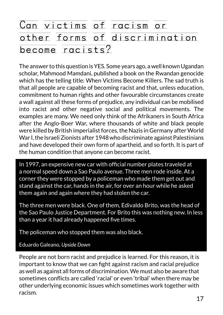## Can victims of racism or other forms of discrimination become racists?

The answer to this question is YES. Some years ago, a well known Ugandan scholar, Mahmood Mamdani, published a book on the Rwandan genocide which has the telling title: When Victims Become Killers. The sad truth is that all people are capable of becoming racist and that, unless education, commitment to human rights and other favourable circumstances create a wall against all these forms of prejudice, any individual can be mobilised into racist and other negative social and political movements. The examples are many. We need only think of the Afrikaners in South Africa after the Anglo-Boer War, where thousands of white and black people were killed by British imperialist forces, the Nazis in Germany after World War I, the Israeli Zionists after 1948 who discriminate against Palestinians and have developed their own form of apartheid, and so forth. It is part of the human condition that anyone can become racist.

In 1997, an expensive new car with official number plates traveled at a normal speed down a Sao Paulo avenue. Three men rode inside. At a corner they were stopped by a policeman who made them get out and stand against the car, hands in the air, for over an hour while he asked them again and again where they had stolen the car.

The three men were black. One of them, Edivaldo Brito, was the head of the Sao Paulo Justice Department. For Brito this was nothing new. In less than a year it had already happened five times.

The policeman who stopped them was also black.

Eduardo Galeano, *Upside Down*

People are not born racist and prejudice is learned. For this reason, it is important to know that we can fight against racism and racial prejudice as well as against all forms of discrimination. We must also be aware that sometimes conflicts are called 'racial' or even 'tribal' when there may be other underlying economic issues which sometimes work together with racism.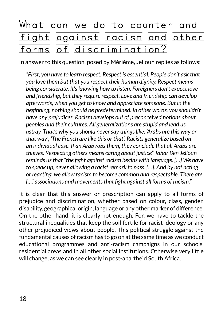## What can we do to counter and fight against racism and other forms of discrimination?

In answer to this question, posed by Mérième, Jelloun replies as follows:

*"First, you have to learn respect. Respect is essential. People don't ask that you love them but that you respect their human dignity. Respect means being considerate. It's knowing how to listen. Foreigners don't expect love and friendship, but they require respect. Love and friendship can develop afterwards, when you get to know and appreciate someone. But in the beginning, nothing should be predetermined. In other words, you shouldn't have any prejudices. Racism develops out of preconceived notions about peoples and their cultures. All generalizations are stupid and lead us astray. That's why you should never say things like: 'Arabs are this way or that way'; 'The French are like this or that'. Racists generalize based on an individual case. If an Arab robs them, they conclude that all Arabs are thieves. Respecting others means caring about justice" Tahar Ben Jelloun reminds us that "the fight against racism begins with language. […] We have to speak up, never allowing a racist remark to pass. […]. And by not acting or reacting, we allow racism to become common and respectable. There are […] associations and movements that fight against all forms of racism."*

It is clear that this answer or prescription can apply to all forms of prejudice and discrimination, whether based on colour, class, gender, disability, geographical origin, language or any other marker of difference. On the other hand, it is clearly not enough. For, we have to tackle the structural inequalities that keep the soil fertile for racist ideology or any other prejudiced views about people. This political struggle against the fundamental causes of racism has to go on at the same time as we conduct educational programmes and anti-racism campaigns in our schools, residential areas and in all other social institutions. Otherwise very little will change, as we can see clearly in post-apartheid South Africa.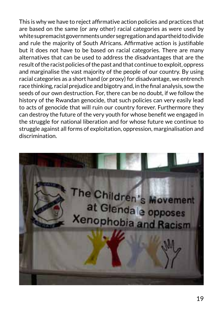This is why we have to reject affirmative action policies and practices that are based on the same (or any other) racial categories as were used by white supremacist governments under segregation and apartheid to divide and rule the majority of South Africans. Affirmative action is justifiable but it does not have to be based on racial categories. There are many alternatives that can be used to address the disadvantages that are the result of the racist policies of the past and that continue to exploit, oppress and marginalise the vast majority of the people of our country. By using racial categories as a short hand (or proxy) for disadvantage, we entrench race thinking, racial prejudice and bigotry and, in the final analysis, sow the seeds of our own destruction. For, there can be no doubt, if we follow the history of the Rwandan genocide, that such policies can very easily lead to acts of genocide that will ruin our country forever. Furthermore they can destroy the future of the very youth for whose benefit we engaged in the struggle for national liberation and for whose future we continue to struggle against all forms of exploitation, oppression, marginalisation and discrimination.

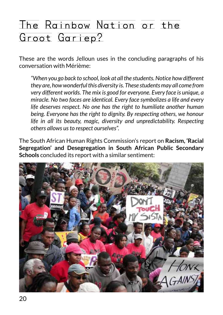## The Rainbow Nation or the Groot Gariep?

These are the words Jelloun uses in the concluding paragraphs of his conversation with Mérième:

*"When you go back to school, look at all the students. Notice how different they are, how wonderful this diversity is. These students may all come from very different worlds. The mix is good for everyone. Every face is unique, a miracle. No two faces are identical. Every face symbolizes a life and every life deserves respect. No one has the right to humiliate another human being. Everyone has the right to dignity. By respecting others, we honour life in all its beauty, magic, diversity and unpredictability. Respecting others allows us to respect ourselves".*

The South African Human Rights Commission's report on **Racism, 'Racial Segregation' and Desegregation in South African Public Secondary Schools** concluded its report with a similar sentiment:

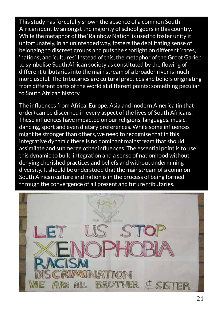This study has forcefully shown the absence of a common South African identity amongst the majority of school goers in this country. While the metaphor of the 'Rainbow Nation' is used to foster unity it unfortunately, in an unintended way, fosters the debilitating sense of belonging to discreet groups and puts the spotlight on different 'races,' 'nations', and 'cultures'. Instead of this, the metaphor of the Groot Gariep to symbolise South African society as constituted by the flowing of different tributaries into the main stream of a broader river is much more useful. The tributaries are cultural practices and beliefs originating from different parts of the world at different points: something peculiar to South African history.

The influences from Africa, Europe, Asia and modern America (in that order) can be discerned in every aspect of the lives of South Africans. These influences have impacted on our religions, languages, music, dancing, sport and even dietary preferences. While some influences might be stronger than others, we need to recognise that in this integrative dynamic there is no dominant mainstream that should assimilate and submerge other influences. The essential point is to use this dynamic to build integration and a sense of nationhood without denying cherished practices and beliefs and without undermining diversity. It should be understood that the mainstream of a common South African culture and nation is in the process of being formed through the convergence of all present and future tributaries.

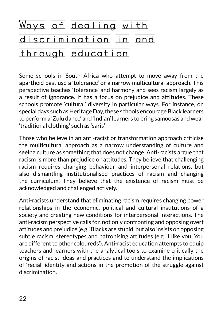## Ways of dealing with discrimination in and through education

Some schools in South Africa who attempt to move away from the apartheid past use a 'tolerance' or a narrow multicultural approach. This perspective teaches 'tolerance' and harmony and sees racism largely as a result of ignorance. It has a focus on prejudice and attitudes. These schools promote 'cultural' diversity in particular ways. For instance, on special days such as Heritage Day, these schools encourage Black learners to perform a 'Zulu dance' and 'Indian' learners to bring samoosas and wear 'traditional clothing' such as 'saris'.

Those who believe in an anti-racist or transformation approach criticise the multicultural approach as a narrow understanding of culture and seeing culture as something that does not change. Anti-racists argue that racism is more than prejudice or attitudes. They believe that challenging racism requires changing behaviour and interpersonal relations, but also dismantling institutionalised practices of racism and changing the curriculum. They believe that the existence of racism must be acknowledged and challenged actively.

Anti-racists understand that eliminating racism requires changing power relationships in the economic, political and cultural institutions of a society and creating new conditions for interpersonal interactions. The anti-racism perspective calls for, not only confronting and opposing overt attitudes and prejudice (e.g. 'Blacks are stupid' but also insists on opposing subtle racism, stereotypes and patronising attitudes (e.g. 'I like you. You are different to other coloureds'). Anti-racist education attempts to equip teachers and learners with the analytical tools to examine critically the origins of racist ideas and practices and to understand the implications of 'racial' identity and actions in the promotion of the struggle against discrimination.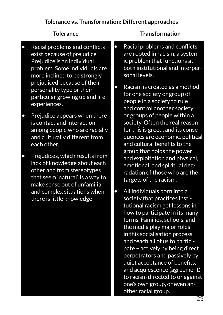- Racial problems and conflicts exist because of prejudice. Prejudice is an individual problem. Some individuals are more inclined to be strongly prejudiced because of their personality type or their particular growing up and life experiences.
- Prejudice appears when there is contact and interaction among people who are racially and culturally different from each other.
- Prejudices, which results from lack of knowledge about each other and from stereotypes that seem 'natural', is a way to make sense out of unfamiliar and complex situations when there is little knowledge

#### **Tolerance Transformation**

- Racial problems and conflicts are rooted in racism, a systemic problem that functions at both institutional and interpersonal levels.
- Racism is created as a method for one society or group of people in a society to rule and control another society or groups of people within a society. Often the real reason for this is greed, and its consequences are economic, political and cultural benefits to the group that holds the power and exploitation and physical, emotional, and spiritual degradation of those who are the targets of the racism.
- All individuals born into a society that practices institutional racism get lessons in how to participate in its many forms. Families, schools, and the media play major roles in this socialisation process, and teach all of us to participate – actively by being direct perpetrators and passively by quiet acceptance of benefits, and acquiescence (agreement) to racism directed to or against one's own group, or even another racial group.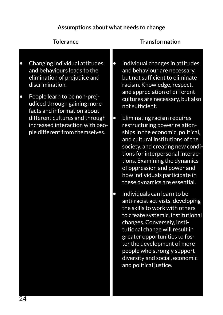#### **Assumptions about what needs to change**

| <b>Tolerance</b>                                                                                                                                                                                                                                                                                                     |           | <b>Transformation</b>                                                                                                                                                                                                                                                                                                                                                                                                                                                                                                                                                         |
|----------------------------------------------------------------------------------------------------------------------------------------------------------------------------------------------------------------------------------------------------------------------------------------------------------------------|-----------|-------------------------------------------------------------------------------------------------------------------------------------------------------------------------------------------------------------------------------------------------------------------------------------------------------------------------------------------------------------------------------------------------------------------------------------------------------------------------------------------------------------------------------------------------------------------------------|
| Changing individual attitudes<br>and behaviours leads to the<br>elimination of prejudice and<br>discrimination.<br>People learn to be non-prej-<br>udiced through gaining more<br>facts and information about<br>different cultures and through<br>increased interaction with peo-<br>ple different from themselves. | $\bullet$ | Individual changes in attitudes<br>and behaviour are necessary,<br>but not sufficient to eliminate<br>racism. Knowledge, respect,<br>and appreciation of different<br>cultures are necessary, but also<br>not sufficient.<br>Eliminating racism requires<br>restructuring power relation-<br>ships in the economic, political,<br>and cultural institutions of the<br>society, and creating new condi-<br>tions for interpersonal interac-<br>tions. Examining the dynamics<br>of oppression and power and<br>how individuals participate in<br>these dynamics are essential. |
|                                                                                                                                                                                                                                                                                                                      |           | Individuals can learn to be<br>anti-racist activists, developing<br>the skills to work with others<br>to create systemic, institutional<br>changes. Conversely, insti-<br>tutional change will result in<br>greater opportunities to fos-<br>ter the development of more<br>people who strongly support<br>diversity and social, economic<br>and political justice.                                                                                                                                                                                                           |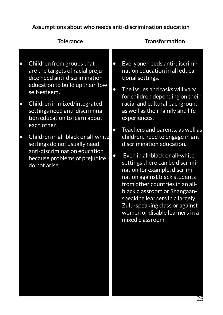#### **Assumptions about who needs anti-discrimination education**

|           | <b>Tolerance</b>                                                                                                                                      |                        | <b>Transformation</b>                                                                                                                                                                                                                                                                                                                                                                                                                  |
|-----------|-------------------------------------------------------------------------------------------------------------------------------------------------------|------------------------|----------------------------------------------------------------------------------------------------------------------------------------------------------------------------------------------------------------------------------------------------------------------------------------------------------------------------------------------------------------------------------------------------------------------------------------|
| $\bullet$ | Children from groups that<br>are the targets of racial preju-<br>dice need anti-discrimination<br>education to build up their 'low<br>self-esteem'.   | $\bullet$              | Everyone needs anti-discrimi-<br>nation education in all educa-<br>tional settings.<br>The issues and tasks will vary<br>for children depending on their                                                                                                                                                                                                                                                                               |
| $\bullet$ | Children in mixed/integrated<br>settings need anti-discrimina-<br>tion education to learn about<br>each other.                                        |                        | racial and cultural background<br>as well as their family and life<br>experiences.                                                                                                                                                                                                                                                                                                                                                     |
| $\bullet$ | Children in all-black or all-white<br>settings do not usually need<br>anti-discrimination education<br>because problems of prejudice<br>do not arise. | $\bullet$<br>$\bullet$ | Teachers and parents, as well as<br>children, need to engage in anti-<br>discrimination education.<br>Even in all-black or all-white<br>settings there can be discrimi-<br>nation for example, discrimi-<br>nation against black students<br>from other countries in an all-<br>black classroom or Shangaan-<br>speaking learners in a largely<br>Zulu-speaking class or against<br>women or disable learners in a<br>mixed classroom. |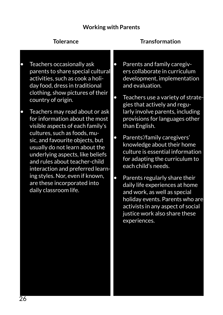#### **Working with Parents**

|           | Tolerance                                                                                                                                                                                                                                                                                                                                                                                                     |           | <b>Transformation</b>                                                                                                                                                                                                                                                                                                                                                                                                    |
|-----------|---------------------------------------------------------------------------------------------------------------------------------------------------------------------------------------------------------------------------------------------------------------------------------------------------------------------------------------------------------------------------------------------------------------|-----------|--------------------------------------------------------------------------------------------------------------------------------------------------------------------------------------------------------------------------------------------------------------------------------------------------------------------------------------------------------------------------------------------------------------------------|
| $\bullet$ | Teachers occasionally ask<br>parents to share special cultural<br>activities, such as cook a holi-<br>day food, dress in traditional<br>clothing, show pictures of their<br>country of origin.                                                                                                                                                                                                                | $\bullet$ | Parents and family caregiv-<br>ers collaborate in curriculum<br>development, implementation<br>and evaluation.<br>Teachers use a variety of strate-<br>gies that actively and regu-                                                                                                                                                                                                                                      |
| $\bullet$ | Teachers may read about or ask<br>for information about the most<br>visible aspects of each family's<br>cultures, such as foods, mu-<br>sic, and favourite objects, but<br>usually do not learn about the<br>underlying aspects, like beliefs<br>and rules about teacher-child<br>interaction and preferred learn-<br>ing styles. Nor, even if known,<br>are these incorporated into<br>daily classroom life. | $\bullet$ | larly involve parents, including<br>provisions for languages other<br>than English.<br>Parents'/family caregivers'<br>knowledge about their home<br>culture is essential information<br>for adapting the curriculum to<br>each child's needs.<br>Parents regularly share their<br>daily life experiences at home<br>and work, as well as special<br>holiday events. Parents who are<br>activists in any aspect of social |

justice work also share these

experiences.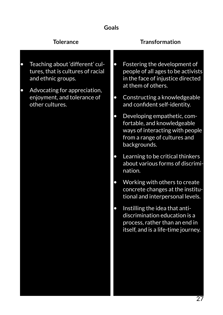#### **Goals**

|           | <b>Tolerance</b>                                                                                                                                                             |                        | <b>Transformation</b>                                                                                                                                                                         |
|-----------|------------------------------------------------------------------------------------------------------------------------------------------------------------------------------|------------------------|-----------------------------------------------------------------------------------------------------------------------------------------------------------------------------------------------|
| $\bullet$ | Teaching about 'different' cul-<br>tures, that is cultures of racial<br>and ethnic groups.<br>Advocating for appreciation,<br>enjoyment, and tolerance of<br>other cultures. | $\bullet$<br>$\bullet$ | Fostering the development of<br>people of all ages to be activists<br>in the face of injustice directed<br>at them of others.<br>Constructing a knowledgeable<br>and confident self-identity. |
|           |                                                                                                                                                                              | $\bullet$              | Developing empathetic, com-<br>fortable, and knowledgeable<br>ways of interacting with people<br>from a range of cultures and<br>backgrounds.                                                 |
|           |                                                                                                                                                                              | $\bullet$              | Learning to be critical thinkers<br>about various forms of discrimi-<br>nation.                                                                                                               |
|           |                                                                                                                                                                              |                        | Working with others to create<br>concrete changes at the institu-<br>tional and interpersonal levels.                                                                                         |
|           |                                                                                                                                                                              | $\bullet$              | Instilling the idea that anti-<br>discrimination education is a<br>process, rather than an end in<br>itself, and is a life-time journey.                                                      |
|           |                                                                                                                                                                              |                        |                                                                                                                                                                                               |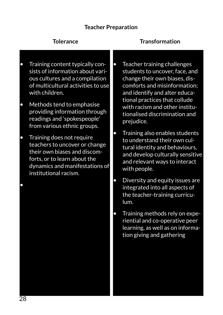#### **Teacher Preparation**

| <b>Tolerance</b>                                                                                                                                                                      |           | <b>Transformation</b>                                                                                                                                                                 |
|---------------------------------------------------------------------------------------------------------------------------------------------------------------------------------------|-----------|---------------------------------------------------------------------------------------------------------------------------------------------------------------------------------------|
| Training content typically con-<br>sists of information about vari-<br>ous cultures and a compilation<br>of multicultural activities to use<br>with children.                         | $\bullet$ | Teacher training challenges<br>students to uncover, face, and<br>change their own biases, dis-<br>comforts and misinformation;<br>and identify and alter educa-                       |
| Methods tend to emphasise<br>providing information through<br>readings and 'spokespeople'<br>from various ethnic groups.                                                              |           | tional practices that collude<br>with racism and other institu-<br>tionalised discrimination and<br>prejudice.                                                                        |
| Training does not require<br>teachers to uncover or change<br>their own biases and discom-<br>forts, or to learn about the<br>dynamics and manifestations of<br>institutional racism. |           | Training also enables students<br>to understand their own cul-<br>tural identity and behaviours,<br>and develop culturally sensitive<br>and relevant ways to interact<br>with people. |
|                                                                                                                                                                                       |           | Diversity and equity issues are<br>integrated into all aspects of<br>the teacher-training curricu-<br>lum.                                                                            |
|                                                                                                                                                                                       |           | Training methods rely on expe-<br>riential and co-operative peer<br>learning, as well as on informa-<br>tion giving and gathering                                                     |
|                                                                                                                                                                                       |           |                                                                                                                                                                                       |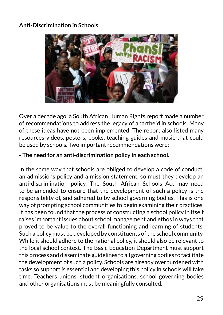#### **Anti-Discrimination in Schools**



Over a decade ago, a South African Human Rights report made a number of recommendations to address the legacy of apartheid in schools. Many of these ideas have not been implemented. The report also listed many resources-videos, posters, books, teaching guides and music-that could be used by schools. Two important recommendations were:

#### **- The need for an anti-discrimination policy in each school.**

In the same way that schools are obliged to develop a code of conduct, an admissions policy and a mission statement, so must they develop an anti-discrimination policy. The South African Schools Act may need to be amended to ensure that the development of such a policy is the responsibility of, and adhered to by school governing bodies. This is one way of prompting school communities to begin examining their practices. It has been found that the process of constructing a school policy in itself raises important issues about school management and ethos in ways that proved to be value to the overall functioning and learning of students. Such a policy must be developed by constituents of the school community. While it should adhere to the national policy, it should also be relevant to the local school context. The Basic Education Department must support this process and disseminate guidelines to all governing bodies to facilitate the development of such a policy. Schools are already overburdened with tasks so support is essential and developing this policy in schools will take time. Teachers unions, student organisations, school governing bodies and other organisations must be meaningfully consulted.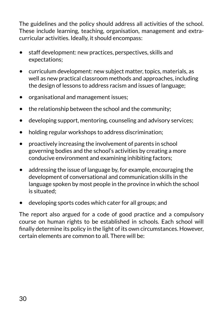The guidelines and the policy should address all activities of the school. These include learning, teaching, organisation, management and extracurricular activities. Ideally, it should encompass:

- staff development: new practices, perspectives, skills and expectations;
- curriculum development: new subject matter, topics, materials, as well as new practical classroom methods and approaches, including the design of lessons to address racism and issues of language;
- organisational and management issues;
- the relationship between the school and the community;
- developing support, mentoring, counseling and advisory services;
- holding regular workshops to address discrimination;
- proactively increasing the involvement of parents in school governing bodies and the school's activities by creating a more conducive environment and examining inhibiting factors;
- addressing the issue of language by, for example, encouraging the development of conversational and communication skills in the language spoken by most people in the province in which the school is situated;
- developing sports codes which cater for all groups; and

The report also argued for a code of good practice and a compulsory course on human rights to be established in schools. Each school will finally determine its policy in the light of its own circumstances. However, certain elements are common to all. There will be: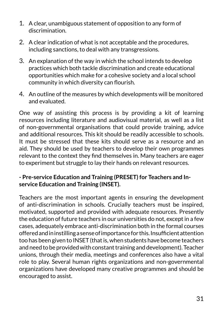- 1. A clear, unambiguous statement of opposition to any form of discrimination.
- 2. A clear indication of what is not acceptable and the procedures, including sanctions, to deal with any transgressions.
- 3. An explanation of the way in which the school intends to develop practices which both tackle discrimination and create educational opportunities which make for a cohesive society and a local school community in which diversity can flourish.
- 4. An outline of the measures by which developments will be monitored and evaluated.

One way of assisting this process is by providing a kit of learning resources including literature and audiovisual material, as well as a list of non-governmental organisations that could provide training, advice and additional resources. This kit should be readily accessible to schools. It must be stressed that these kits should serve as a resource and an aid. They should be used by teachers to develop their own programmes relevant to the context they find themselves in. Many teachers are eager to experiment but struggle to lay their hands on relevant resources.

#### **- Pre-service Education and Training (PRESET) for Teachers and Inservice Education and Training (INSET).**

Teachers are the most important agents in ensuring the development of anti-discrimination in schools. Crucially teachers must be inspired, motivated, supported and provided with adequate resources. Presently the education of future teachers in our universities do not, except in a few cases, adequately embrace anti-discrimination both in the formal courses offered and in instilling a sense of importance for this. Insufficient attention too has been given to INSET (that is, when students have become teachers and need to be provided with constant training and development). Teacher unions, through their media, meetings and conferences also have a vital role to play. Several human rights organizations and non-governmental organizations have developed many creative programmes and should be encouraged to assist.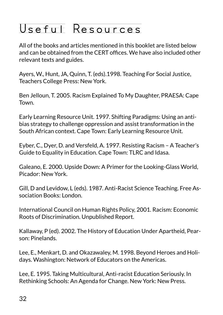## Useful Resources

All of the books and articles mentioned in this booklet are listed below and can be obtained from the CERT offices. We have also included other relevant texts and guides.

Ayers, W., Hunt, JA, Quinn, T. (eds).1998. Teaching For Social Justice, Teachers College Press: New York.

Ben Jelloun, T. 2005. Racism Explained To My Daughter, PRAESA: Cape Town.

Early Learning Resource Unit. 1997. Shifting Paradigms: Using an antibias strategy to challenge oppression and assist transformation in the South African context. Cape Town: Early Learning Resource Unit.

Eyber, C., Dyer, D. and Versfeld, A. 1997. Resisting Racism – A Teacher's Guide to Equality in Education. Cape Town: TLRC and Idasa.

Galeano, E. 2000. Upside Down: A Primer for the Looking-Glass World, Picador: New York.

Gill, D and Levidow, L (eds). 1987. Anti-Racist Science Teaching. Free Association Books: London.

International Council on Human Rights Policy, 2001. Racism: Economic Roots of Discrimination. Unpublished Report.

Kallaway, P (ed). 2002. The History of Education Under Apartheid, Pearson: Pinelands.

Lee, E., Menkart, D. and Okazawaley, M. 1998. Beyond Heroes and Holidays. Washington: Network of Educators on the Americas.

Lee, E. 1995. Taking Multicultural, Anti-racist Education Seriously. In Rethinking Schools: An Agenda for Change. New York: New Press.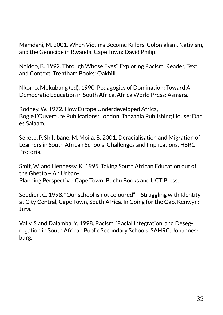Mamdani, M. 2001. When Victims Become Killers. Colonialism, Nativism, and the Genocide in Rwanda. Cape Town: David Philip.

Naidoo, B. 1992. Through Whose Eyes? Exploring Racism: Reader, Text and Context, Trentham Books: Oakhill.

Nkomo, Mokubung (ed). 1990. Pedagogics of Domination: Toward A Democratic Education in South Africa, Africa World Press: Asmara.

Rodney, W. 1972. How Europe Underdeveloped Africa, Bogle'L'Ouverture Publications: London, Tanzania Publishing House: Dar es Salaam.

Sekete, P, Shilubane, M, Moila, B. 2001. Deracialisation and Migration of Learners in South African Schools: Challenges and Implications, HSRC: Pretoria.

Smit, W. and Hennessy, K. 1995. Taking South African Education out of the Ghetto – An Urban-Planning Perspective. Cape Town: Buchu Books and UCT Press.

Soudien, C. 1998. "Our school is not coloured" – Struggling with Identity at City Central, Cape Town, South Africa. In Going for the Gap. Kenwyn: Juta.

Vally, S and Dalamba, Y. 1998. Racism, 'Racial Integration' and Desegregation in South African Public Secondary Schools, SAHRC: Johannesburg.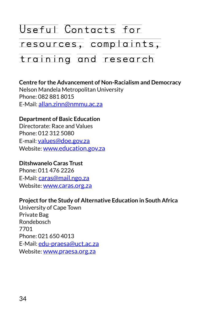## Useful Contacts for resources, complaints, training and research

#### **Centre for the Advancement of Non-Racialism and Democracy** Nelson Mandela Metropolitan University Phone: 082 881 8015 E-Mail: [allan.zinn@nmmu.ac.za](mailto:allan.zinn@nmmu.ac.za)

#### **Department of Basic Education**

Directorate: Race and Values Phone: 012 312 5080 E-mail: [values@doe.gov.za](mailto:values@doe.gov.za) Website:<www.education.gov.za>

#### **Ditshwanelo Caras Trust**

Phone: 011 476 2226 E-Mail: [caras@mail.ngo.za](mailto:caras@mail.ngo.za) Website:<www.caras.org.za>

#### **Project for the Study of Alternative Education in South Africa**

University of Cape Town Private Bag Rondebosch 7701 Phone: 021 650 4013 E-Mail: [edu-praesa@uct.ac.za](mailto:edu-praesa@uct.ac.za) Website:<www.praesa.org.za>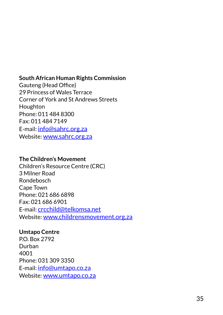#### **South African Human Rights Commission**

Gauteng (Head Office) 29 Princess of Wales Terrace Corner of York and St Andrews Streets Houghton Phone: 011 484 8300 Fax: 011 484 7149 E-mail: [info@sahrc.org.za](mailto:info@sahrc.org.za) Website:<www.sahrc.org.za>

#### **The Children's Movement**

Children's Resource Centre (CRC) 3 Milner Road Rondebosch Cape Town Phone: 021 686 6898 Fax: 021 686 6901 E-mail: [crcchild@telkomsa.net](mailto:crcchild@telkomsa.net) Website:<www.childrensmovement.org.za>

#### **Umtapo Centre**

P.O. Box 2792 Durban 4001 Phone: 031 309 3350 E-mail: [info@umtapo.co.za](mailto:info@umtapo.co.za) Website:<www.umtapo.co.za>